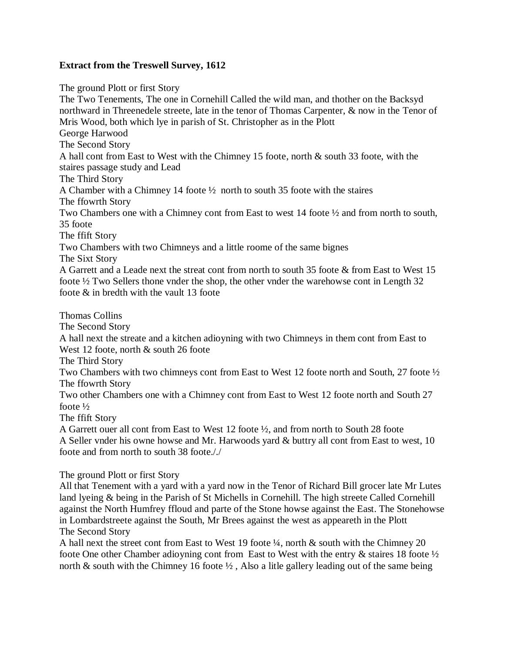## **Extract from the Treswell Survey, 1612**

The ground Plott or first Story

The Two Tenements, The one in Cornehill Called the wild man, and thother on the Backsyd northward in Threenedele streete, late in the tenor of Thomas Carpenter, & now in the Tenor of Mris Wood, both which lye in parish of St. Christopher as in the Plott George Harwood The Second Story A hall cont from East to West with the Chimney 15 foote, north & south 33 foote, with the staires passage study and Lead The Third Story A Chamber with a Chimney 14 foote ½ north to south 35 foote with the staires The ffowrth Story Two Chambers one with a Chimney cont from East to west 14 foote ½ and from north to south, 35 foote The ffift Story Two Chambers with two Chimneys and a little roome of the same bignes The Sixt Story A Garrett and a Leade next the streat cont from north to south 35 foote & from East to West 15 foote ½ Two Sellers thone vnder the shop, the other vnder the warehowse cont in Length 32 foote & in bredth with the vault 13 foote Thomas Collins The Second Story A hall next the streate and a kitchen adioyning with two Chimneys in them cont from East to West 12 foote, north & south 26 foote The Third Story

Two Chambers with two chimneys cont from East to West 12 foote north and South, 27 foote ½ The ffowrth Story

Two other Chambers one with a Chimney cont from East to West 12 foote north and South 27 foote ½

The ffift Story

A Garrett ouer all cont from East to West 12 foote ½, and from north to South 28 foote A Seller vnder his owne howse and Mr. Harwoods yard & buttry all cont from East to west, 10 foote and from north to south 38 foote././

The ground Plott or first Story

All that Tenement with a yard with a yard now in the Tenor of Richard Bill grocer late Mr Lutes land lyeing & being in the Parish of St Michells in Cornehill. The high streete Called Cornehill against the North Humfrey ffloud and parte of the Stone howse against the East. The Stonehowse in Lombardstreete against the South, Mr Brees against the west as appeareth in the Plott The Second Story

A hall next the street cont from East to West 19 foote ¼, north & south with the Chimney 20 foote One other Chamber adioyning cont from East to West with the entry & staires 18 foote ½ north  $\&$  south with the Chimney 16 foote  $\frac{1}{2}$ , Also a litle gallery leading out of the same being